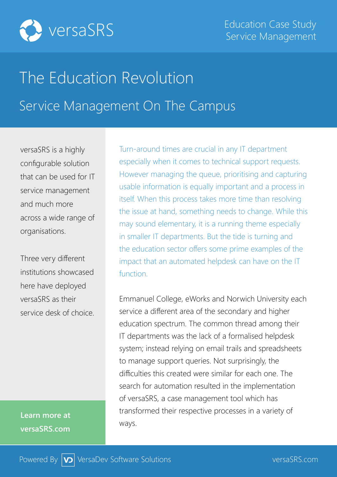

## The Education Revolution Service Management On The Campus

versaSRS is a highly configurable solution that can be used for IT service management and much more across a wide range of organisations.

Three very different institutions showcased here have deployed versaSRS as their service desk of choice.

**Learn more at versaSRS.com**

Turn-around times are crucial in any IT department especially when it comes to technical support requests. However managing the queue, prioritising and capturing usable information is equally important and a process in itself. When this process takes more time than resolving the issue at hand, something needs to change. While this may sound elementary, it is a running theme especially in smaller IT departments. But the tide is turning and the education sector offers some prime examples of the impact that an automated helpdesk can have on the IT function.

Emmanuel College, eWorks and Norwich University each service a different area of the secondary and higher education spectrum. The common thread among their IT departments was the lack of a formalised helpdesk system; instead relying on email trails and spreadsheets to manage support queries. Not surprisingly, the difficulties this created were similar for each one. The search for automation resulted in the implementation of versaSRS, a case management tool which has transformed their respective processes in a variety of ways.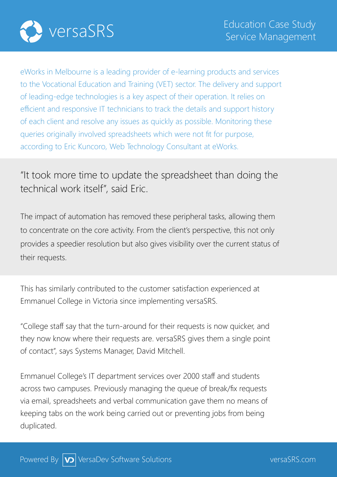

eWorks in Melbourne is a leading provider of e-learning products and services to the Vocational Education and Training (VET) sector. The delivery and support of leading-edge technologies is a key aspect of their operation. It relies on efficient and responsive IT technicians to track the details and support history of each client and resolve any issues as quickly as possible. Monitoring these queries originally involved spreadsheets which were not fit for purpose, according to Eric Kuncoro, Web Technology Consultant at eWorks.

## "It took more time to update the spreadsheet than doing the technical work itself", said Eric.

The impact of automation has removed these peripheral tasks, allowing them to concentrate on the core activity. From the client's perspective, this not only provides a speedier resolution but also gives visibility over the current status of their requests.

This has similarly contributed to the customer satisfaction experienced at Emmanuel College in Victoria since implementing versaSRS.

"College staff say that the turn-around for their requests is now quicker, and they now know where their requests are. versaSRS gives them a single point of contact", says Systems Manager, David Mitchell.

Emmanuel College's IT department services over 2000 staff and students across two campuses. Previously managing the queue of break/fix requests via email, spreadsheets and verbal communication gave them no means of keeping tabs on the work being carried out or preventing jobs from being duplicated.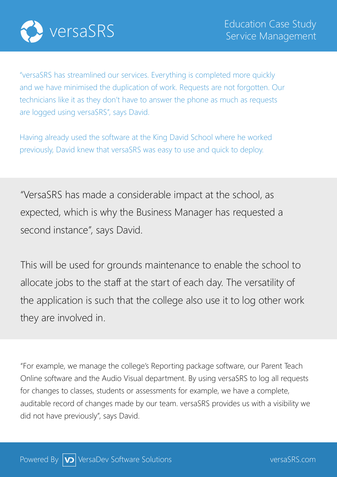

"versaSRS has streamlined our services. Everything is completed more quickly and we have minimised the duplication of work. Requests are not forgotten. Our technicians like it as they don't have to answer the phone as much as requests are logged using versaSRS", says David.

Having already used the software at the King David School where he worked previously, David knew that versaSRS was easy to use and quick to deploy.

"VersaSRS has made a considerable impact at the school, as expected, which is why the Business Manager has requested a second instance", says David.

This will be used for grounds maintenance to enable the school to allocate jobs to the staff at the start of each day. The versatility of the application is such that the college also use it to log other work they are involved in.

"For example, we manage the college's Reporting package software, our Parent Teach Online software and the Audio Visual department. By using versaSRS to log all requests for changes to classes, students or assessments for example, we have a complete, auditable record of changes made by our team. versaSRS provides us with a visibility we did not have previously", says David.